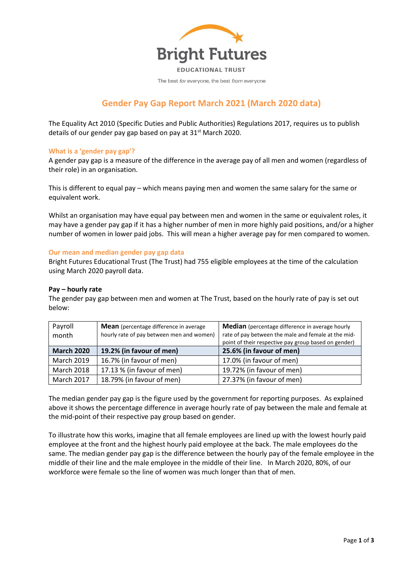

The best for everyone, the best from everyone

# **Gender Pay Gap Report March 2021 (March 2020 data)**

The Equality Act 2010 (Specific Duties and Public Authorities) Regulations 2017, requires us to publish details of our gender pay gap based on pay at  $31<sup>st</sup>$  March 2020.

## **What is a 'gender pay gap'?**

A gender pay gap is a measure of the difference in the average pay of all men and women (regardless of their role) in an organisation.

This is different to equal pay – which means paying men and women the same salary for the same or equivalent work.

Whilst an organisation may have equal pay between men and women in the same or equivalent roles, it may have a gender pay gap if it has a higher number of men in more highly paid positions, and/or a higher number of women in lower paid jobs. This will mean a higher average pay for men compared to women.

## **Our mean and median gender pay gap data**

Bright Futures Educational Trust (The Trust) had 755 eligible employees at the time of the calculation using March 2020 payroll data.

## **Pay – hourly rate**

The gender pay gap between men and women at The Trust, based on the hourly rate of pay is set out below:

| Payroll<br>month  | <b>Mean</b> (percentage difference in average<br>hourly rate of pay between men and women) | <b>Median</b> (percentage difference in average hourly<br>rate of pay between the male and female at the mid- |
|-------------------|--------------------------------------------------------------------------------------------|---------------------------------------------------------------------------------------------------------------|
|                   |                                                                                            | point of their respective pay group based on gender)                                                          |
| <b>March 2020</b> | 19.2% (in favour of men)                                                                   | 25.6% (in favour of men)                                                                                      |
| <b>March 2019</b> | 16.7% (in favour of men)                                                                   | 17.0% (in favour of men)                                                                                      |
| <b>March 2018</b> | 17.13 % (in favour of men)                                                                 | 19.72% (in favour of men)                                                                                     |
| <b>March 2017</b> | 18.79% (in favour of men)                                                                  | 27.37% (in favour of men)                                                                                     |

The median gender pay gap is the figure used by the government for reporting purposes. As explained above it shows the percentage difference in average hourly rate of pay between the male and female at the mid-point of their respective pay group based on gender.

To illustrate how this works, imagine that all female employees are lined up with the lowest hourly paid employee at the front and the highest hourly paid employee at the back. The male employees do the same. The median gender pay gap is the difference between the hourly pay of the female employee in the middle of their line and the male employee in the middle of their line. In March 2020, 80%, of our workforce were female so the line of women was much longer than that of men.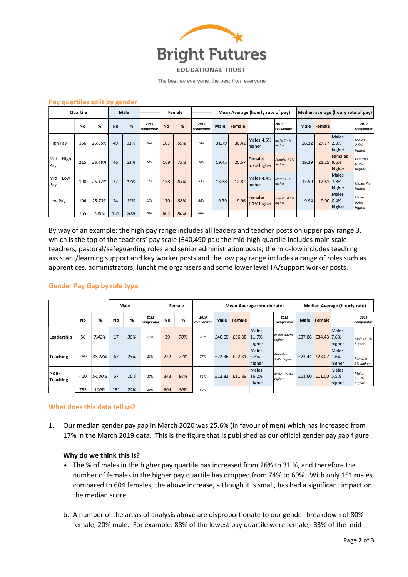

**EDUCATIONAL TRUST** 

The best for everyone, the best from everyone

| Pay quartiles split by gender<br>Quartile |     | <b>Male</b> |           | Female |                    |           |     |                    | Mean Average (hourly rate of pay) |        | Median average (houry rate of pay) |                        |       |             |                          |                                  |
|-------------------------------------------|-----|-------------|-----------|--------|--------------------|-----------|-----|--------------------|-----------------------------------|--------|------------------------------------|------------------------|-------|-------------|--------------------------|----------------------------------|
|                                           | No  | %           | <b>No</b> | %      | 2019<br>comparator | <b>No</b> | %   | 2019<br>comparator | Male                              | Female |                                    | 2019<br>comparator     |       | Male Female |                          | 2019<br>comparator               |
| <b>High Pay</b>                           | 156 | 20.66%      | 49        | 31%    | 26%                | 107       | 69% | 74%                | 31.79                             | 30.42  | Males 4.5%<br>higher               | males 7.4%<br>higher   | 28.32 | 27.77 2.0%  | <b>Males</b><br>higher   | Males<br>2.5%<br>higher          |
| $Mid - High$<br>Pay                       | 215 | 28.48%      | 46        | 21%    | 24%                | 169       | 79% | 76%                | 19.45                             | 20.57  | Females<br>5.7% higher             | Females 4.2%<br>higher | 19.39 | 21.25 9.6%  | <b>Females</b><br>higher | <b>Females</b><br>6.7%<br>higher |
| $Mid$ – Low<br>Pay                        | 190 | 25.17%      | 32        | 17%    | 17%                | 158       | 83% | 83%                | 13.38                             | 12.82  | Males 4.4%<br>higher               | Males 3.1%<br>higher   | 13.59 | 12.61 7.8%  | <b>Males</b><br>higher   | Males 7%<br>higher               |
| Low Pay                                   | 194 | 25.70%      | 24        | 12%    | 12%                | 170       | 88% | 88%                | 9.79                              | 9.96   | Females<br>1.7% higher             | Females 0.5%<br>higher | 9.94  | 9.90 0.4%   | <b>Males</b><br>higher   | Males<br>0.4%<br>higher          |
|                                           | 755 | 100%        | 151       | 20%    | 20%                | 604       | 80% | 80%                |                                   |        |                                    |                        |       |             |                          |                                  |

## **Pay quartiles split by gender**

By way of an example: the high pay range includes all leaders and teacher posts on upper pay range 3, which is the top of the teachers' pay scale (£40,490 pa); the mid-high quartile includes main scale teachers, pastoral/safeguarding roles and senior administration posts; the mid-low includes teaching assistant/learning support and key worker posts and the low pay range includes a range of roles such as apprentices, administrators, lunchtime organisers and some lower level TA/support worker posts.

|                         | <b>Gender Pay Gap by role type</b> |        |     |      |                    |        |     |                    |                            |        |                                 |                               |                              |                    |                        |                          |
|-------------------------|------------------------------------|--------|-----|------|--------------------|--------|-----|--------------------|----------------------------|--------|---------------------------------|-------------------------------|------------------------------|--------------------|------------------------|--------------------------|
|                         |                                    |        |     | Male |                    | Female |     |                    | Mean Average (hourly rate) |        |                                 |                               | Median Average (hourly rate) |                    |                        |                          |
|                         | No                                 | %      | No  | %    | 2019<br>comparator | No     | %   | 2019<br>comparator | Male                       | Female |                                 | 2019<br>comparator            | Male                         | Female             |                        | 2019<br>comparator       |
| Leadership              | 56                                 | 7.42%  | 17  | 30%  | 23%                | 39     | 70% | 77%                | £40.65                     | £36.38 | <b>Males</b><br>11.7%<br>higher | Males 11.4%<br>higher         |                              | £37.06 £34.43 7.6% | <b>Males</b><br>higher | Males 6.3%<br>higher     |
| <b>Teaching</b>         | 289                                | 38.28% | 67  | 23%  | 23%                | 222    | 77% | 77%                | £22.36                     | £22.31 | <b>Males</b><br>0.3%<br>higher  | <b>Females</b><br>3.6% higher | £23.44                       | £23.07 1.6%        | <b>Males</b><br>higher | Females<br>3% higher     |
| Non-<br><b>Teaching</b> | 410                                | 54.30% | 67  | 16%  | 17%                | 343    | 84% | 84%                | £13.82                     | £11.89 | <b>Males</b><br>16.2%<br>higher | Males 29.4%<br>higher         | £11.60                       | £11.00 5.5%        | <b>Males</b><br>higher | Males<br>13.5%<br>higher |
|                         | 755                                | 100%   | 151 | 20%  | 20%                | 604    | 80% | 80%                |                            |        |                                 |                               |                              |                    |                        |                          |

## **What does this data tell us?**

1. Our median gender pay gap in March 2020 was 25.6% (in favour of men) which has increased from 17% in the March 2019 data. This is the figure that is published as our official gender pay gap figure.

## **Why do we think this is?**

- a. The % of males in the higher pay quartile has increased from 26% to 31 %, and therefore the number of females in the higher pay quartile has dropped from 74% to 69%. With only 151 males compared to 604 females, the above increase, although it is small, has had a significant impact on the median score.
- b. A number of the areas of analysis above are disproportionate to our gender breakdown of 80% female, 20% male. For example: 88% of the lowest pay quartile were female; 83% of the mid-